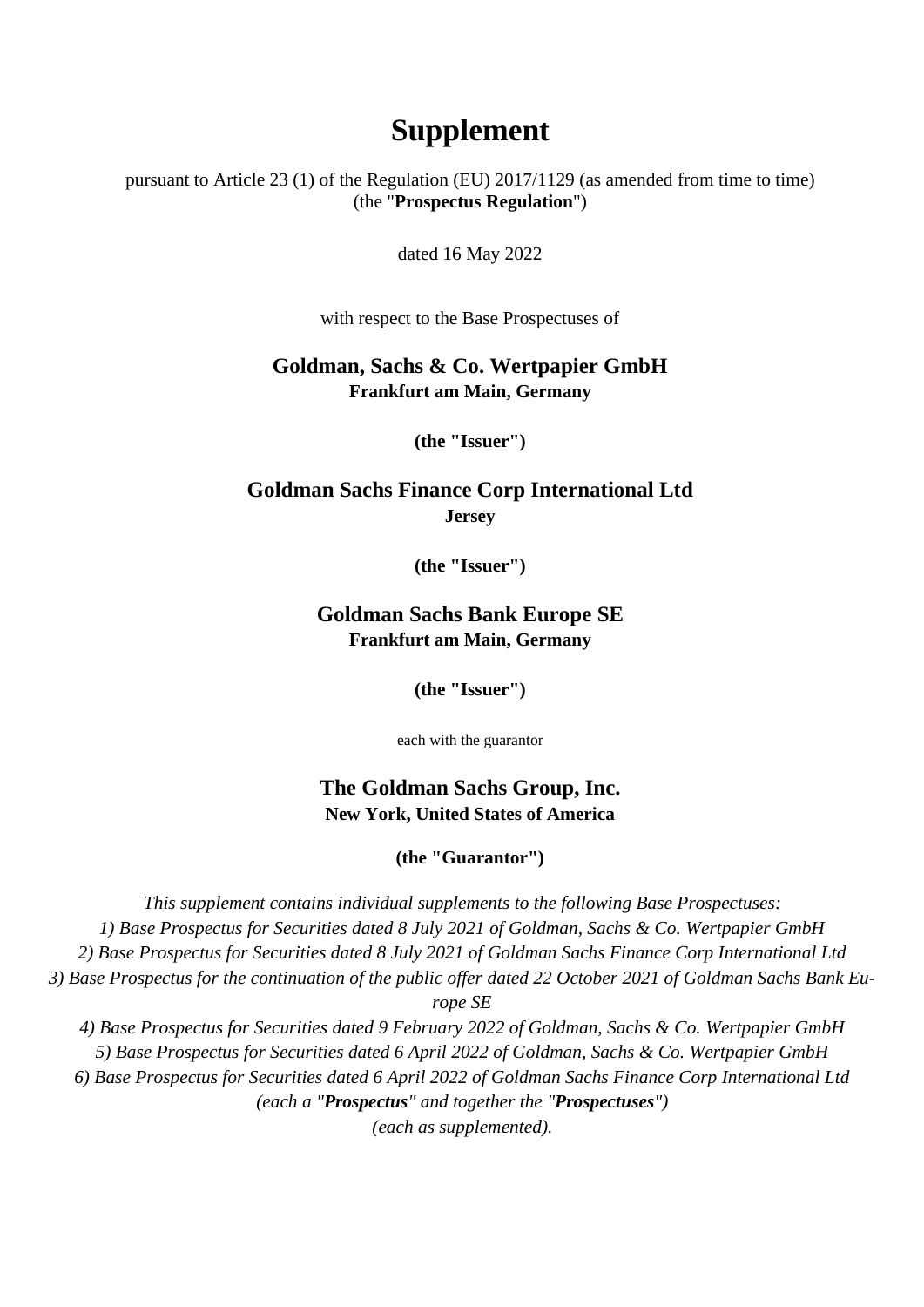# **Supplement**

pursuant to Article 23 (1) of the Regulation (EU) 2017/1129 (as amended from time to time) (the "**Prospectus Regulation**")

dated 16 May 2022

with respect to the Base Prospectuses of

#### **Goldman, Sachs & Co. Wertpapier GmbH Frankfurt am Main, Germany**

**(the "Issuer")**

### **Goldman Sachs Finance Corp International Ltd Jersey**

**(the "Issuer")**

#### **Goldman Sachs Bank Europe SE Frankfurt am Main, Germany**

**(the "Issuer")**

each with the guarantor

## **The Goldman Sachs Group, Inc. New York, United States of America**

**(the "Guarantor")**

*This supplement contains individual supplements to the following Base Prospectuses: 1) Base Prospectus for Securities dated 8 July 2021 of Goldman, Sachs & Co. Wertpapier GmbH 2) Base Prospectus for Securities dated 8 July 2021 of Goldman Sachs Finance Corp International Ltd 3) Base Prospectus for the continuation of the public offer dated 22 October 2021 of Goldman Sachs Bank Europe SE 4) Base Prospectus for Securities dated 9 February 2022 of Goldman, Sachs & Co. Wertpapier GmbH 5) Base Prospectus for Securities dated 6 April 2022 of Goldman, Sachs & Co. Wertpapier GmbH 6) Base Prospectus for Securities dated 6 April 2022 of Goldman Sachs Finance Corp International Ltd (each a "Prospectus" and together the "Prospectuses") (each as supplemented).*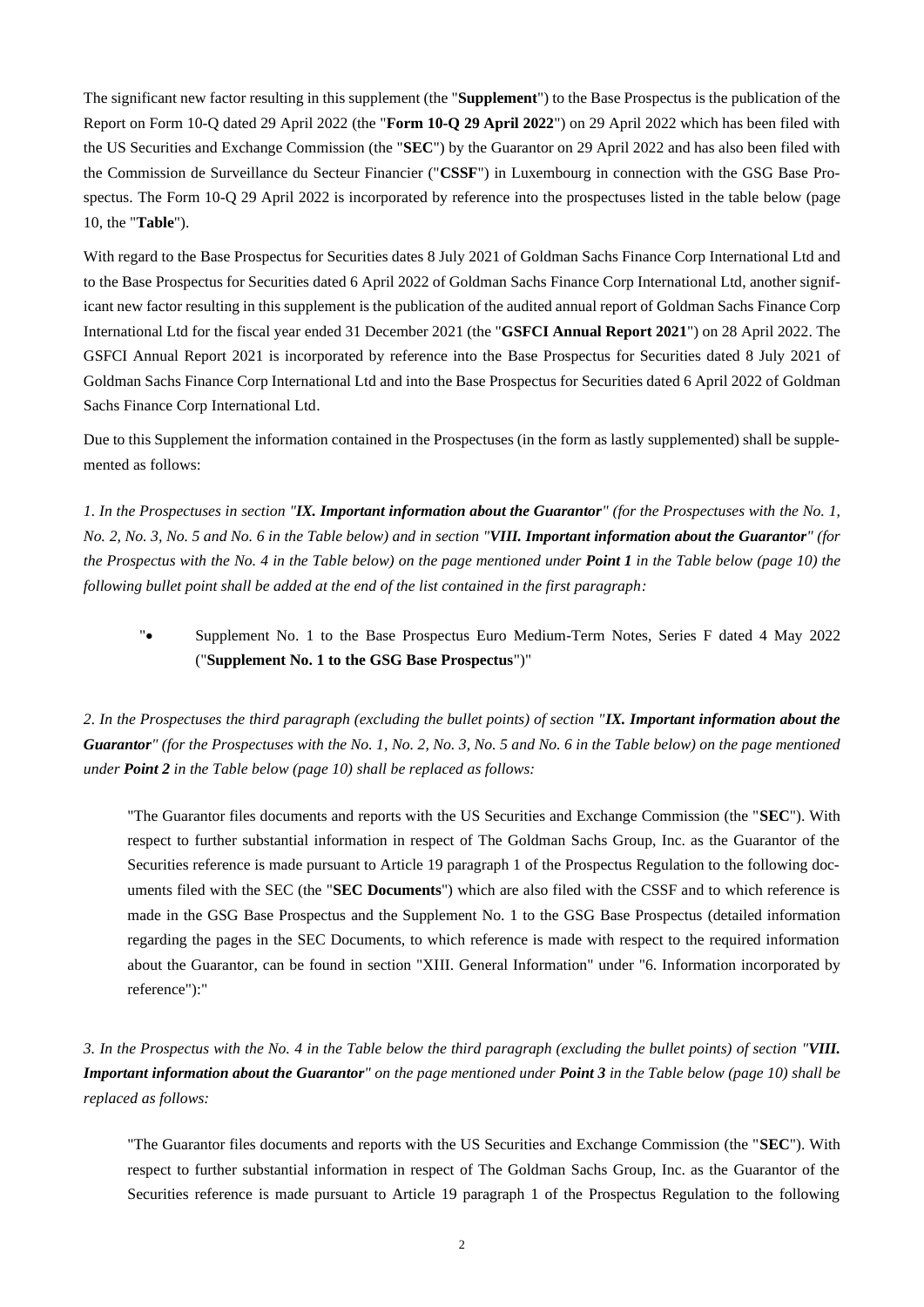The significant new factor resulting in this supplement (the "**Supplement**") to the Base Prospectus is the publication of the Report on Form 10-Q dated 29 April 2022 (the "**Form 10-Q 29 April 2022**") on 29 April 2022 which has been filed with the US Securities and Exchange Commission (the "**SEC**") by the Guarantor on 29 April 2022 and has also been filed with the Commission de Surveillance du Secteur Financier ("**CSSF**") in Luxembourg in connection with the GSG Base Prospectus. The Form 10-Q 29 April 2022 is incorporated by reference into the prospectuses listed in the table below (page 10, the "**Table**").

With regard to the Base Prospectus for Securities dates 8 July 2021 of Goldman Sachs Finance Corp International Ltd and to the Base Prospectus for Securities dated 6 April 2022 of Goldman Sachs Finance Corp International Ltd, another significant new factor resulting in this supplement is the publication of the audited annual report of Goldman Sachs Finance Corp International Ltd for the fiscal year ended 31 December 2021 (the "**GSFCI Annual Report 2021**") on 28 April 2022. The GSFCI Annual Report 2021 is incorporated by reference into the Base Prospectus for Securities dated 8 July 2021 of Goldman Sachs Finance Corp International Ltd and into the Base Prospectus for Securities dated 6 April 2022 of Goldman Sachs Finance Corp International Ltd.

Due to this Supplement the information contained in the Prospectuses (in the form as lastly supplemented) shall be supplemented as follows:

*1. In the Prospectuses in section "IX. Important information about the Guarantor" (for the Prospectuses with the No. 1, No. 2, No. 3, No. 5 and No. 6 in the Table below) and in section "VIII. Important information about the Guarantor" (for the Prospectus with the No. 4 in the Table below) on the page mentioned under Point 1 in the Table below (page [10\)](#page-9-0) the following bullet point shall be added at the end of the list contained in the first paragraph:*

"• Supplement No. 1 to the Base Prospectus Euro Medium-Term Notes, Series F dated 4 May 2022 ("**Supplement No. 1 to the GSG Base Prospectus**")"

*2. In the Prospectuses the third paragraph (excluding the bullet points) of section "IX. Important information about the Guarantor" (for the Prospectuses with the No. 1, No. 2, No. 3, No. 5 and No. 6 in the Table below) on the page mentioned under Point 2 in the Table below (page [10\)](#page-9-0) shall be replaced as follows:*

"The Guarantor files documents and reports with the US Securities and Exchange Commission (the "**SEC**"). With respect to further substantial information in respect of The Goldman Sachs Group, Inc. as the Guarantor of the Securities reference is made pursuant to Article 19 paragraph 1 of the Prospectus Regulation to the following documents filed with the SEC (the "**SEC Documents**") which are also filed with the CSSF and to which reference is made in the GSG Base Prospectus and the Supplement No. 1 to the GSG Base Prospectus (detailed information regarding the pages in the SEC Documents, to which reference is made with respect to the required information about the Guarantor, can be found in section "XIII. General Information" under "6. Information incorporated by reference"):"

*3. In the Prospectus with the No. 4 in the Table below the third paragraph (excluding the bullet points) of section "VIII. Important information about the Guarantor" on the page mentioned under Point 3 in the Table below (pag[e 10\)](#page-9-0) shall be replaced as follows:*

"The Guarantor files documents and reports with the US Securities and Exchange Commission (the "**SEC**"). With respect to further substantial information in respect of The Goldman Sachs Group, Inc. as the Guarantor of the Securities reference is made pursuant to Article 19 paragraph 1 of the Prospectus Regulation to the following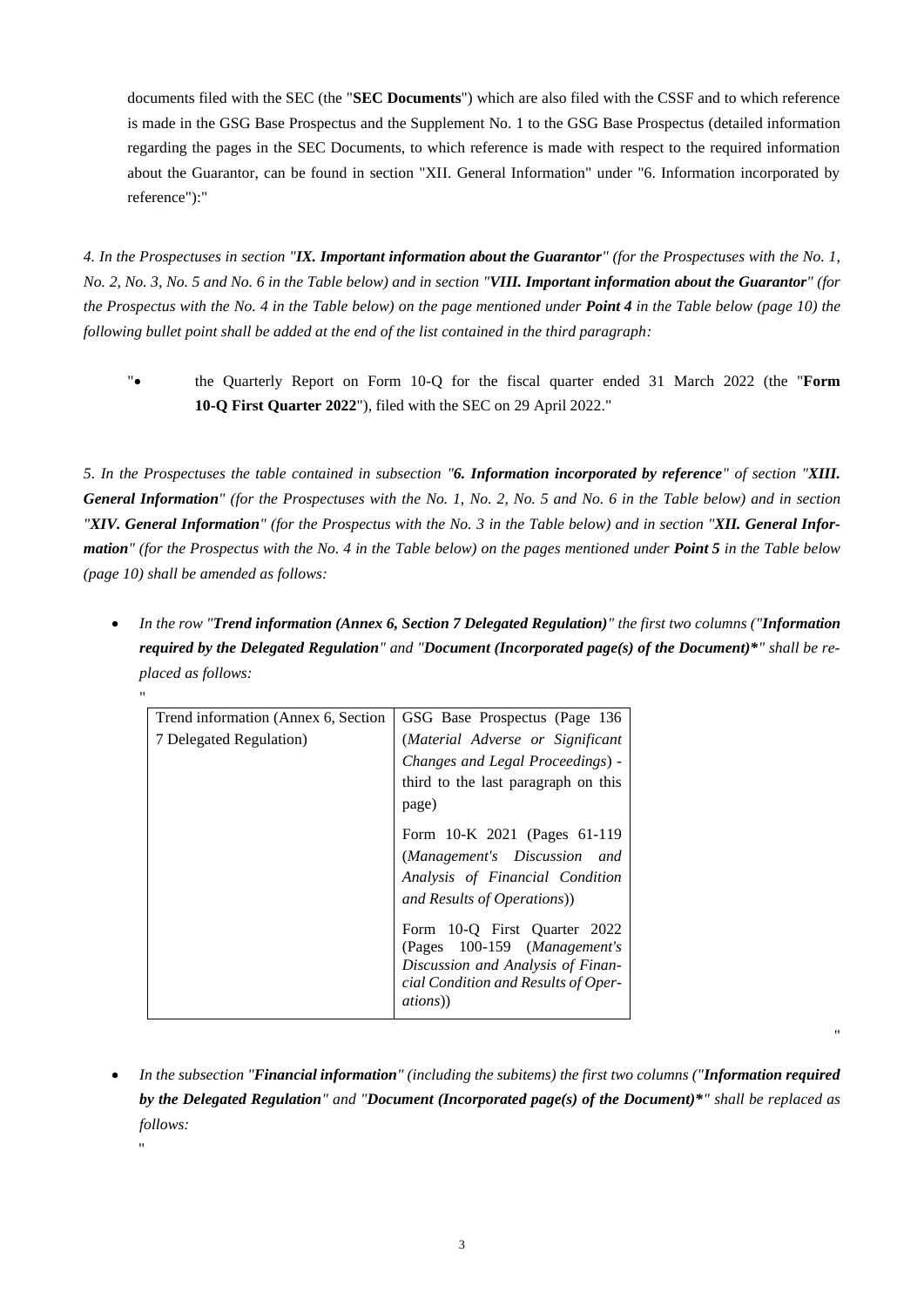documents filed with the SEC (the "**SEC Documents**") which are also filed with the CSSF and to which reference is made in the GSG Base Prospectus and the Supplement No. 1 to the GSG Base Prospectus (detailed information regarding the pages in the SEC Documents, to which reference is made with respect to the required information about the Guarantor, can be found in section "XII. General Information" under "6. Information incorporated by reference"):"

*4. In the Prospectuses in section "IX. Important information about the Guarantor" (for the Prospectuses with the No. 1, No. 2, No. 3, No. 5 and No. 6 in the Table below) and in section "VIII. Important information about the Guarantor" (for the Prospectus with the No. 4 in the Table below) on the page mentioned under Point 4 in the Table below (page [10\)](#page-9-0) the following bullet point shall be added at the end of the list contained in the third paragraph:*

"• the Quarterly Report on Form 10-Q for the fiscal quarter ended 31 March 2022 (the "**Form 10-Q First Quarter 2022**"), filed with the SEC on 29 April 2022."

*5. In the Prospectuses the table contained in subsection "6. Information incorporated by reference" of section "XIII. General Information" (for the Prospectuses with the No. 1, No. 2, No. 5 and No. 6 in the Table below) and in section "XIV. General Information" (for the Prospectus with the No. 3 in the Table below) and in section "XII. General Information" (for the Prospectus with the No. 4 in the Table below) on the pages mentioned under Point 5 in the Table below (page [10\)](#page-9-0) shall be amended as follows:*

• *In the row "Trend information (Annex 6, Section 7 Delegated Regulation)" the first two columns ("Information required by the Delegated Regulation" and "Document (Incorporated page(s) of the Document)\*" shall be replaced as follows:*

| Ħ                                    |                                                                                                                                                              |
|--------------------------------------|--------------------------------------------------------------------------------------------------------------------------------------------------------------|
| Trend information (Annex 6, Section) | GSG Base Prospectus (Page 136)                                                                                                                               |
| 7 Delegated Regulation)              | (Material Adverse or Significant                                                                                                                             |
|                                      | Changes and Legal Proceedings) -                                                                                                                             |
|                                      | third to the last paragraph on this                                                                                                                          |
|                                      | page)                                                                                                                                                        |
|                                      | Form 10-K 2021 (Pages 61-119                                                                                                                                 |
|                                      | (Management's Discussion and                                                                                                                                 |
|                                      | Analysis of Financial Condition                                                                                                                              |
|                                      | and Results of Operations))                                                                                                                                  |
|                                      | Form 10-Q First Quarter 2022<br>(Pages 100-159 (Management's<br>Discussion and Analysis of Finan-<br>cial Condition and Results of Oper-<br><i>ations</i> )) |

"

• *In the subsection "Financial information" (including the subitems) the first two columns ("Information required by the Delegated Regulation" and "Document (Incorporated page(s) of the Document)\*" shall be replaced as follows:*

"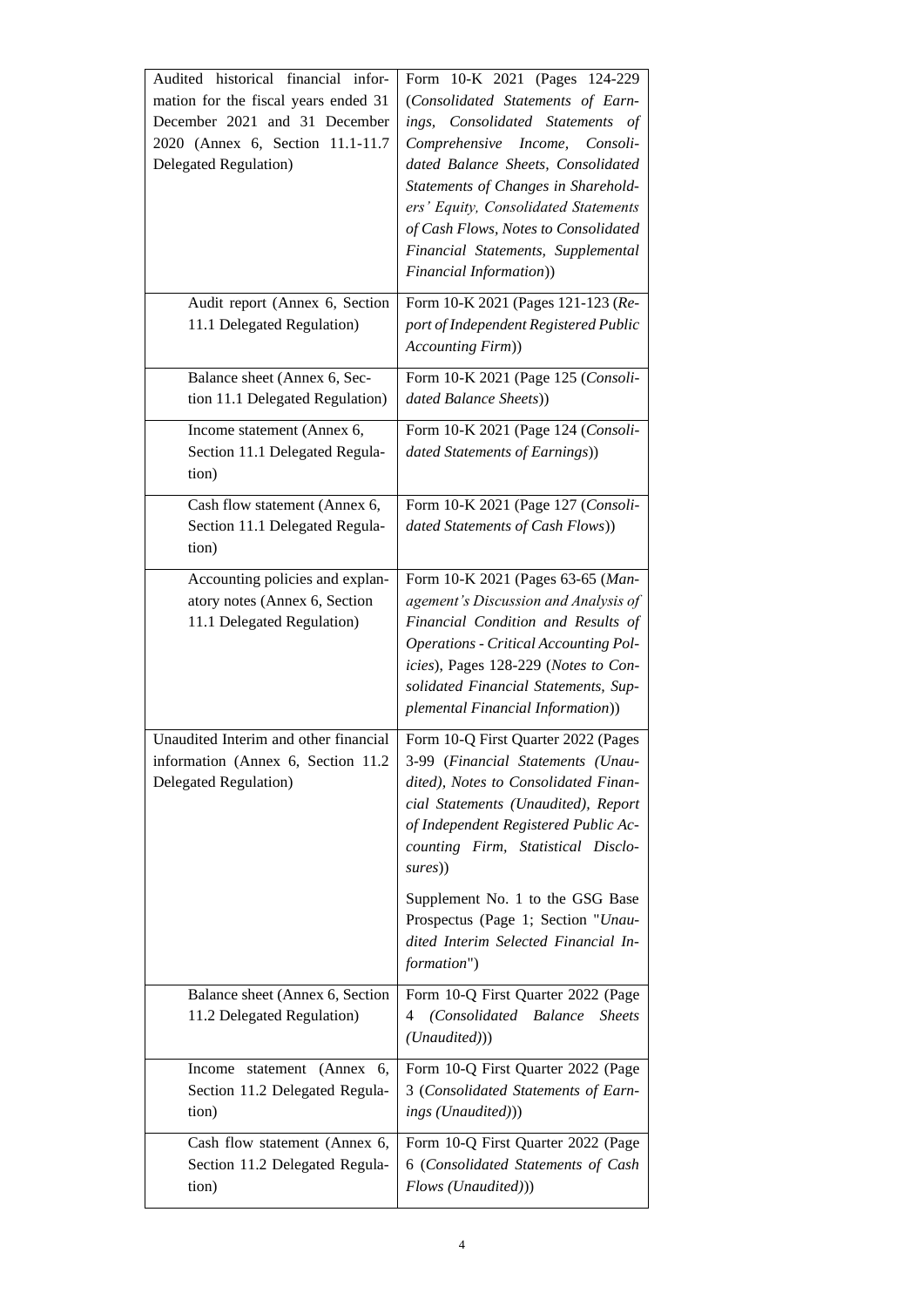| Audited historical financial infor-<br>mation for the fiscal years ended 31<br>December 2021 and 31 December<br>2020 (Annex 6, Section 11.1-11.7<br>Delegated Regulation) | Form 10-K 2021 (Pages 124-229<br>(Consolidated Statements of Earn-<br>ings, Consolidated Statements of<br>Comprehensive<br>Income,<br>Consoli-<br>dated Balance Sheets, Consolidated<br>Statements of Changes in Sharehold-<br>ers' Equity, Consolidated Statements<br>of Cash Flows, Notes to Consolidated<br>Financial Statements, Supplemental<br>Financial Information))      |
|---------------------------------------------------------------------------------------------------------------------------------------------------------------------------|-----------------------------------------------------------------------------------------------------------------------------------------------------------------------------------------------------------------------------------------------------------------------------------------------------------------------------------------------------------------------------------|
| Audit report (Annex 6, Section<br>11.1 Delegated Regulation)                                                                                                              | Form 10-K 2021 (Pages 121-123 (Re-<br>port of Independent Registered Public<br>Accounting Firm))                                                                                                                                                                                                                                                                                  |
| Balance sheet (Annex 6, Sec-<br>tion 11.1 Delegated Regulation)                                                                                                           | Form 10-K 2021 (Page 125 (Consoli-<br>dated Balance Sheets))                                                                                                                                                                                                                                                                                                                      |
| Income statement (Annex 6,<br>Section 11.1 Delegated Regula-<br>tion)                                                                                                     | Form 10-K 2021 (Page 124 (Consoli-<br>dated Statements of Earnings))                                                                                                                                                                                                                                                                                                              |
| Cash flow statement (Annex 6,<br>Section 11.1 Delegated Regula-<br>tion)                                                                                                  | Form 10-K 2021 (Page 127 (Consoli-<br>dated Statements of Cash Flows))                                                                                                                                                                                                                                                                                                            |
| Accounting policies and explan-<br>atory notes (Annex 6, Section<br>11.1 Delegated Regulation)                                                                            | Form 10-K 2021 (Pages 63-65 (Man-<br>agement's Discussion and Analysis of<br>Financial Condition and Results of<br><b>Operations - Critical Accounting Pol-</b><br>icies), Pages 128-229 (Notes to Con-<br>solidated Financial Statements, Sup-<br>plemental Financial Information))                                                                                              |
| Unaudited Interim and other financial<br>information (Annex 6, Section 11.2<br>Delegated Regulation)                                                                      | Form 10-Q First Quarter 2022 (Pages<br>3-99 (Financial Statements (Unau-<br>dited), Notes to Consolidated Finan-<br>cial Statements (Unaudited), Report<br>of Independent Registered Public Ac-<br>counting Firm, Statistical Disclo-<br>sures))<br>Supplement No. 1 to the GSG Base<br>Prospectus (Page 1; Section "Unau-<br>dited Interim Selected Financial In-<br>formation") |
| Balance sheet (Annex 6, Section<br>11.2 Delegated Regulation)                                                                                                             | Form 10-Q First Quarter 2022 (Page<br>(Consolidated Balance<br><b>Sheets</b><br>4<br>(Unaudited))                                                                                                                                                                                                                                                                                 |
| Income statement (Annex<br>6.<br>Section 11.2 Delegated Regula-<br>tion)                                                                                                  | Form 10-Q First Quarter 2022 (Page<br>3 (Consolidated Statements of Earn-<br>ings (Unaudited)))                                                                                                                                                                                                                                                                                   |
| Cash flow statement (Annex 6,<br>Section 11.2 Delegated Regula-<br>tion)                                                                                                  | Form 10-Q First Quarter 2022 (Page<br>6 (Consolidated Statements of Cash<br>Flows (Unaudited)))                                                                                                                                                                                                                                                                                   |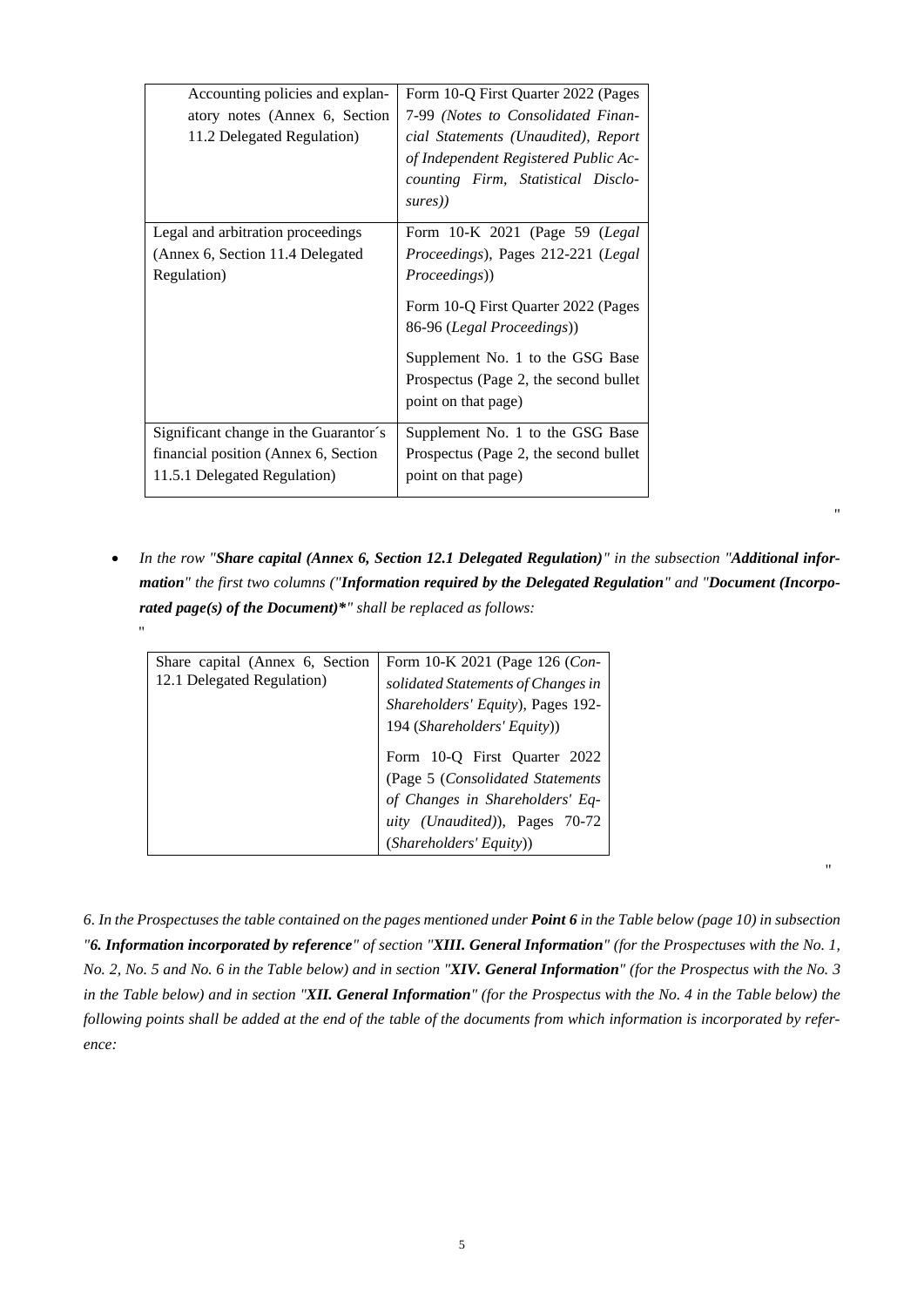| Accounting policies and explan-<br>atory notes (Annex 6, Section<br>11.2 Delegated Regulation) | Form 10-Q First Quarter 2022 (Pages<br>7-99 (Notes to Consolidated Finan-<br>cial Statements (Unaudited), Report<br>of Independent Registered Public Ac-<br>counting Firm, Statistical Disclo-<br>sures)) |  |  |  |  |  |
|------------------------------------------------------------------------------------------------|-----------------------------------------------------------------------------------------------------------------------------------------------------------------------------------------------------------|--|--|--|--|--|
| Legal and arbitration proceedings                                                              | Form 10-K 2021 (Page 59 (Legal                                                                                                                                                                            |  |  |  |  |  |
| (Annex 6, Section 11.4 Delegated                                                               | Proceedings), Pages 212-221 (Legal                                                                                                                                                                        |  |  |  |  |  |
| Regulation)                                                                                    | Proceedings))                                                                                                                                                                                             |  |  |  |  |  |
|                                                                                                | Form 10-Q First Quarter 2022 (Pages<br>86-96 (Legal Proceedings))                                                                                                                                         |  |  |  |  |  |
|                                                                                                | Supplement No. 1 to the GSG Base                                                                                                                                                                          |  |  |  |  |  |
|                                                                                                | Prospectus (Page 2, the second bullet                                                                                                                                                                     |  |  |  |  |  |
|                                                                                                | point on that page)                                                                                                                                                                                       |  |  |  |  |  |
| Significant change in the Guarantor's                                                          | Supplement No. 1 to the GSG Base                                                                                                                                                                          |  |  |  |  |  |
| financial position (Annex 6, Section                                                           | Prospectus (Page 2, the second bullet                                                                                                                                                                     |  |  |  |  |  |
| 11.5.1 Delegated Regulation)                                                                   | point on that page)                                                                                                                                                                                       |  |  |  |  |  |
|                                                                                                |                                                                                                                                                                                                           |  |  |  |  |  |

• *In the row "Share capital (Annex 6, Section 12.1 Delegated Regulation)" in the subsection "Additional information" the first two columns ("Information required by the Delegated Regulation" and "Document (Incorporated page(s) of the Document)\*" shall be replaced as follows:* "

"

"

| Share capital (Annex 6, Section<br>12.1 Delegated Regulation) | Form 10-K 2021 (Page 126 (Con-<br>solidated Statements of Changes in<br>Shareholders' Equity), Pages 192-<br>194 (Shareholders' Equity))                         |
|---------------------------------------------------------------|------------------------------------------------------------------------------------------------------------------------------------------------------------------|
|                                                               | Form 10-Q First Quarter 2022<br>(Page 5 (Consolidated Statements<br>of Changes in Shareholders' Eq-<br>uity (Unaudited)), Pages 70-72<br>(Shareholders' Equity)) |

*6. In the Prospectuses the table contained on the pages mentioned under Point 6 in the Table below (pag[e 10\)](#page-9-0) in subsection "6. Information incorporated by reference" of section "XIII. General Information" (for the Prospectuses with the No. 1, No. 2, No. 5 and No. 6 in the Table below) and in section "XIV. General Information" (for the Prospectus with the No. 3 in the Table below) and in section "XII. General Information" (for the Prospectus with the No. 4 in the Table below) the following points shall be added at the end of the table of the documents from which information is incorporated by reference:*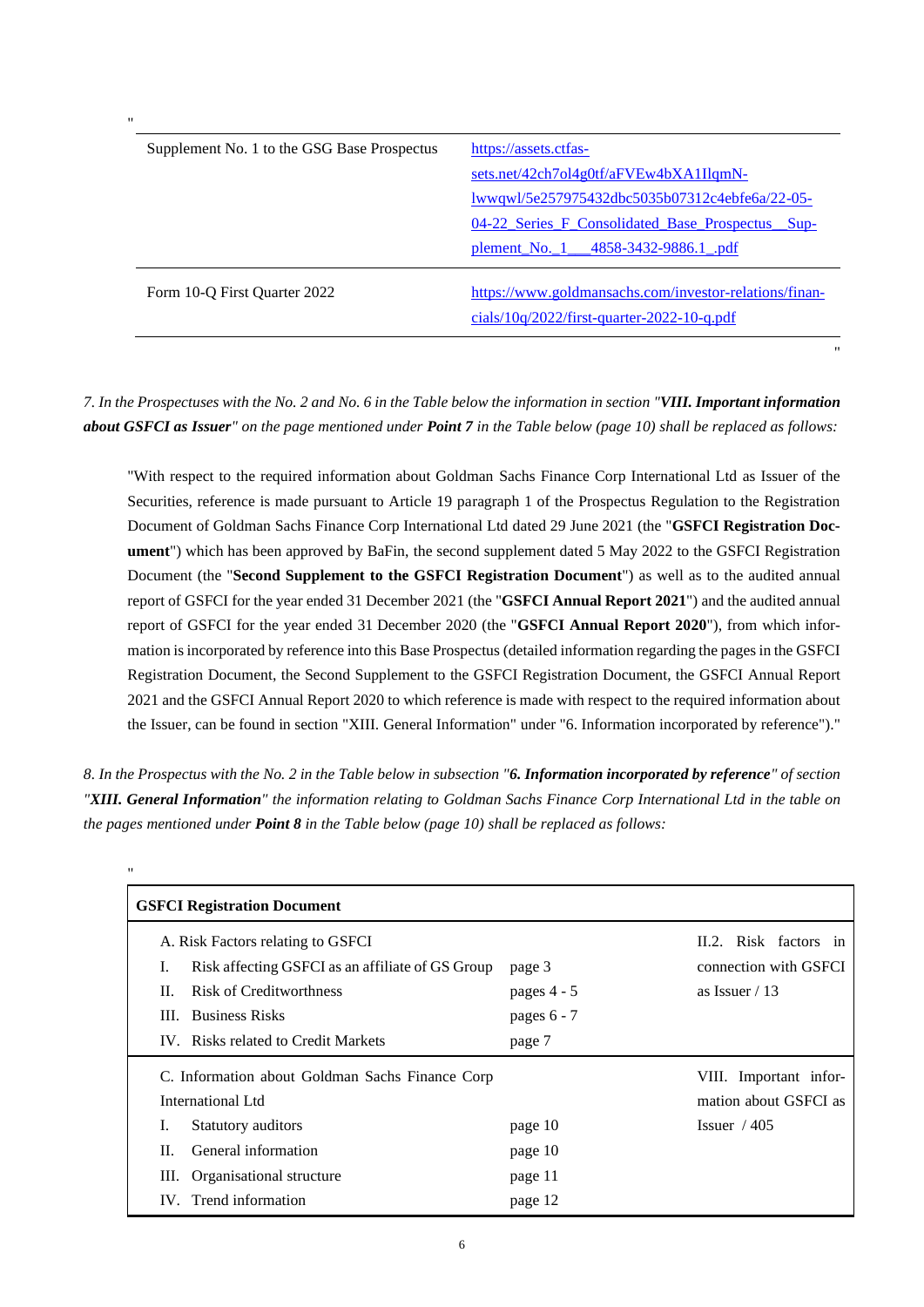| Supplement No. 1 to the GSG Base Prospectus | https://assets.ctfas-                                                                                |
|---------------------------------------------|------------------------------------------------------------------------------------------------------|
|                                             | sets.net/42ch7ol4g0tf/aFVEw4bXA1IlqmN-                                                               |
|                                             | <u>lwwqwl/5e257975432dbc5035b07312c4ebfe6a/22-05-</u>                                                |
|                                             | 04-22 Series F Consolidated Base Prospectus<br>$Sup-$                                                |
|                                             | plement_No._1___4858-3432-9886.1_.pdf                                                                |
| Form 10-Q First Quarter 2022                | https://www.goldmansachs.com/investor-relations/finan-<br>cials/10g/2022/first-quarter-2022-10-g.pdf |

"

*7. In the Prospectuses with the No. 2 and No. 6 in the Table below the information in section "VIII. Important information about GSFCI as Issuer" on the page mentioned under Point 7 in the Table below (page [10\)](#page-9-0) shall be replaced as follows:*

"With respect to the required information about Goldman Sachs Finance Corp International Ltd as Issuer of the Securities, reference is made pursuant to Article 19 paragraph 1 of the Prospectus Regulation to the Registration Document of Goldman Sachs Finance Corp International Ltd dated 29 June 2021 (the "**GSFCI Registration Document**") which has been approved by BaFin, the second supplement dated 5 May 2022 to the GSFCI Registration Document (the "**Second Supplement to the GSFCI Registration Document**") as well as to the audited annual report of GSFCI for the year ended 31 December 2021 (the "**GSFCI Annual Report 2021**") and the audited annual report of GSFCI for the year ended 31 December 2020 (the "**GSFCI Annual Report 2020**"), from which information is incorporated by reference into this Base Prospectus (detailed information regarding the pages in the GSFCI Registration Document, the Second Supplement to the GSFCI Registration Document, the GSFCI Annual Report 2021 and the GSFCI Annual Report 2020 to which reference is made with respect to the required information about the Issuer, can be found in section "XIII. General Information" under "6. Information incorporated by reference")."

*8. In the Prospectus with the No. 2 in the Table below in subsection "6. Information incorporated by reference" of section "XIII. General Information" the information relating to Goldman Sachs Finance Corp International Ltd in the table on the pages mentioned under Point 8 in the Table below (pag[e 10\)](#page-9-0) shall be replaced as follows:*

| <b>GSFCI Registration Document</b>               |                                                                                                     |  |  |  |  |  |  |  |  |  |  |
|--------------------------------------------------|-----------------------------------------------------------------------------------------------------|--|--|--|--|--|--|--|--|--|--|
| page 3<br>pages $4 - 5$<br>pages 6 - 7<br>page 7 | II.2. Risk factors in<br>connection with GSFCI<br>as Issuer $/ 13$                                  |  |  |  |  |  |  |  |  |  |  |
|                                                  | VIII. Important infor-<br>mation about GSFCI as                                                     |  |  |  |  |  |  |  |  |  |  |
| page 10                                          | Issuer $/405$                                                                                       |  |  |  |  |  |  |  |  |  |  |
| page 10                                          |                                                                                                     |  |  |  |  |  |  |  |  |  |  |
| page 11                                          |                                                                                                     |  |  |  |  |  |  |  |  |  |  |
| page 12                                          |                                                                                                     |  |  |  |  |  |  |  |  |  |  |
|                                                  | Risk affecting GSFCI as an affiliate of GS Group<br>C. Information about Goldman Sachs Finance Corp |  |  |  |  |  |  |  |  |  |  |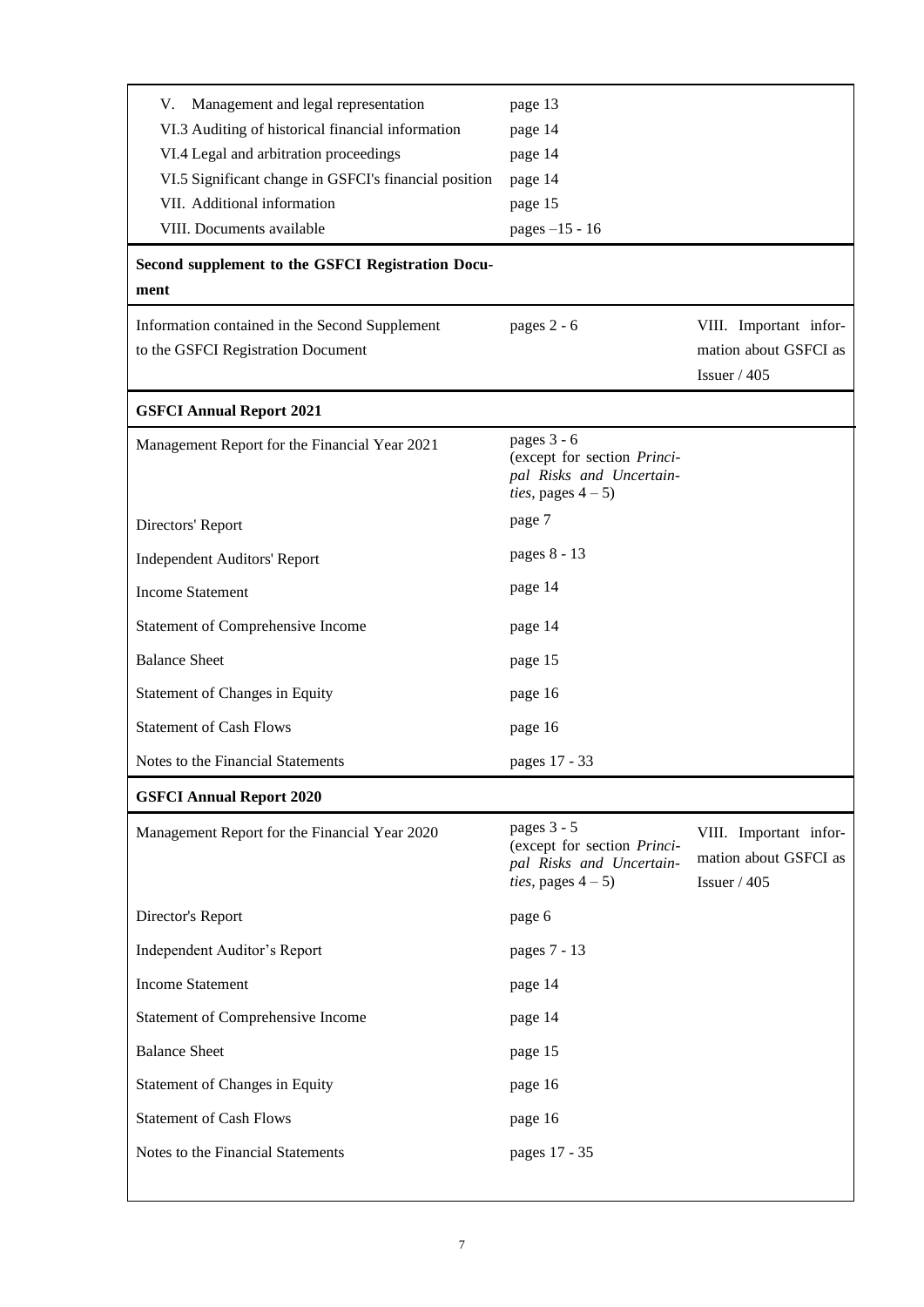| Management and legal representation<br>V.<br>VI.3 Auditing of historical financial information<br>VI.4 Legal and arbitration proceedings<br>VI.5 Significant change in GSFCI's financial position<br>VII. Additional information<br>VIII. Documents available | page 13<br>page 14<br>page 14<br>page 14<br>page 15<br>pages -15 - 16                                 |                                                                  |  |  |  |  |  |
|---------------------------------------------------------------------------------------------------------------------------------------------------------------------------------------------------------------------------------------------------------------|-------------------------------------------------------------------------------------------------------|------------------------------------------------------------------|--|--|--|--|--|
| Second supplement to the GSFCI Registration Docu-<br>ment                                                                                                                                                                                                     |                                                                                                       |                                                                  |  |  |  |  |  |
| Information contained in the Second Supplement<br>to the GSFCI Registration Document                                                                                                                                                                          | pages 2 - 6<br>VIII. Important infor-<br>mation about GSFCI as<br>Issuer $/405$                       |                                                                  |  |  |  |  |  |
| <b>GSFCI Annual Report 2021</b>                                                                                                                                                                                                                               |                                                                                                       |                                                                  |  |  |  |  |  |
| Management Report for the Financial Year 2021                                                                                                                                                                                                                 | pages 3 - 6<br>(except for section Princi-<br>pal Risks and Uncertain-<br><i>ties</i> , pages $4-5$ ) |                                                                  |  |  |  |  |  |
| Directors' Report                                                                                                                                                                                                                                             | page 7                                                                                                |                                                                  |  |  |  |  |  |
| <b>Independent Auditors' Report</b>                                                                                                                                                                                                                           | pages 8 - 13                                                                                          |                                                                  |  |  |  |  |  |
| <b>Income Statement</b>                                                                                                                                                                                                                                       | page 14                                                                                               |                                                                  |  |  |  |  |  |
| Statement of Comprehensive Income                                                                                                                                                                                                                             | page 14                                                                                               |                                                                  |  |  |  |  |  |
| <b>Balance Sheet</b>                                                                                                                                                                                                                                          | page 15                                                                                               |                                                                  |  |  |  |  |  |
| Statement of Changes in Equity                                                                                                                                                                                                                                | page 16                                                                                               |                                                                  |  |  |  |  |  |
| <b>Statement of Cash Flows</b>                                                                                                                                                                                                                                | page 16                                                                                               |                                                                  |  |  |  |  |  |
| Notes to the Financial Statements                                                                                                                                                                                                                             | pages 17 - 33                                                                                         |                                                                  |  |  |  |  |  |
| <b>GSFCI Annual Report 2020</b>                                                                                                                                                                                                                               |                                                                                                       |                                                                  |  |  |  |  |  |
| Management Report for the Financial Year 2020                                                                                                                                                                                                                 | pages 3 - 5<br>(except for section Princi-<br>pal Risks and Uncertain-<br><i>ties</i> , pages $4-5$ ) | VIII. Important infor-<br>mation about GSFCI as<br>Issuer $/405$ |  |  |  |  |  |
| Director's Report                                                                                                                                                                                                                                             | page 6                                                                                                |                                                                  |  |  |  |  |  |
| Independent Auditor's Report                                                                                                                                                                                                                                  | pages 7 - 13                                                                                          |                                                                  |  |  |  |  |  |
| <b>Income Statement</b>                                                                                                                                                                                                                                       | page 14                                                                                               |                                                                  |  |  |  |  |  |
| <b>Statement of Comprehensive Income</b>                                                                                                                                                                                                                      | page 14                                                                                               |                                                                  |  |  |  |  |  |
| <b>Balance Sheet</b>                                                                                                                                                                                                                                          | page 15                                                                                               |                                                                  |  |  |  |  |  |
| Statement of Changes in Equity                                                                                                                                                                                                                                | page 16                                                                                               |                                                                  |  |  |  |  |  |
| <b>Statement of Cash Flows</b>                                                                                                                                                                                                                                | page 16                                                                                               |                                                                  |  |  |  |  |  |
| Notes to the Financial Statements                                                                                                                                                                                                                             | pages 17 - 35                                                                                         |                                                                  |  |  |  |  |  |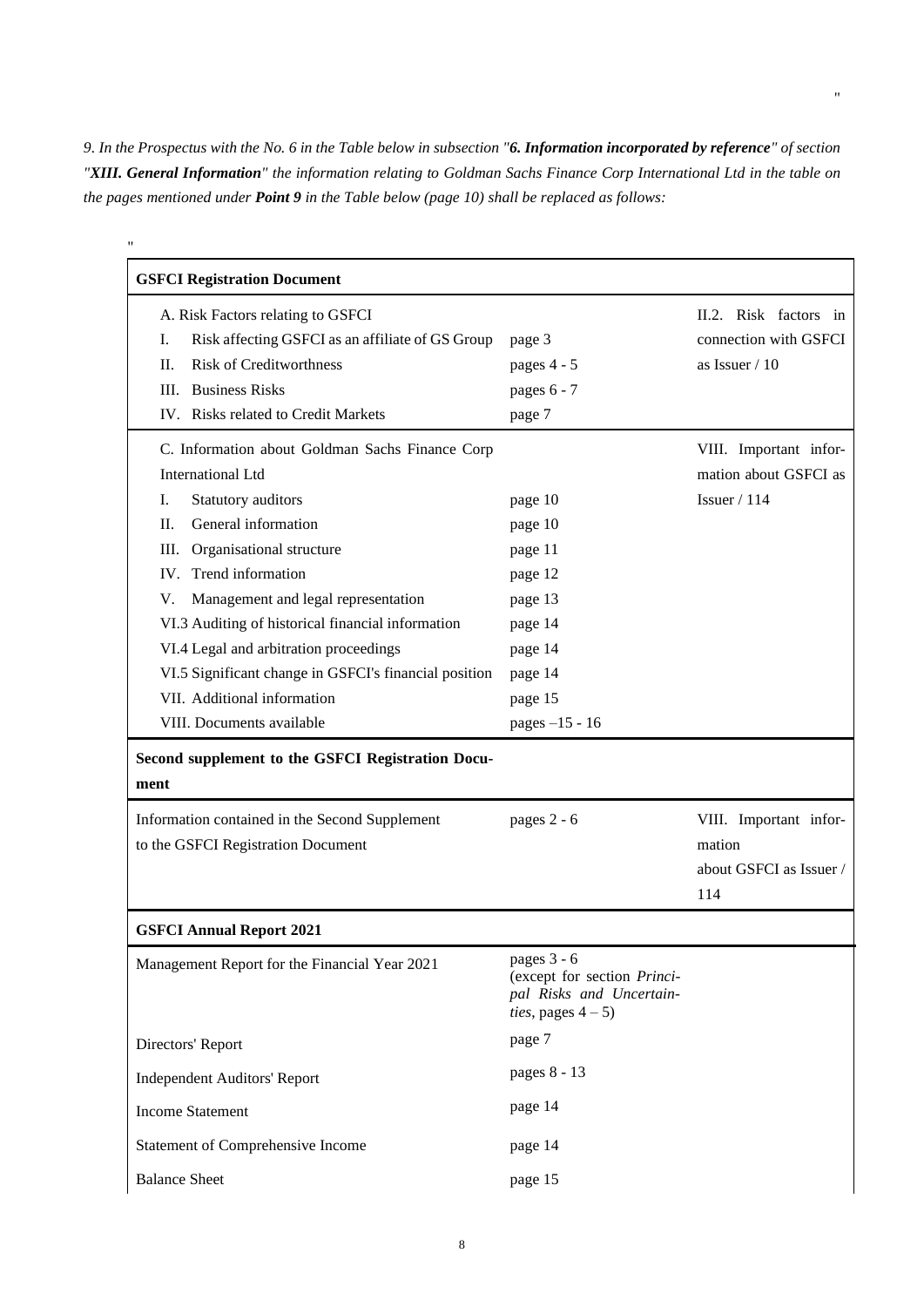*9. In the Prospectus with the No. 6 in the Table below in subsection "6. Information incorporated by reference" of section "XIII. General Information" the information relating to Goldman Sachs Finance Corp International Ltd in the table on the pages mentioned under Point 9 in the Table below (pag[e 10\)](#page-9-0) shall be replaced as follows:*

"

| <b>GSFCI Registration Document</b>                                                                                                                                                                                                                                                                                                                                                                                                                                    |                                                                                                                   |                                                                    |
|-----------------------------------------------------------------------------------------------------------------------------------------------------------------------------------------------------------------------------------------------------------------------------------------------------------------------------------------------------------------------------------------------------------------------------------------------------------------------|-------------------------------------------------------------------------------------------------------------------|--------------------------------------------------------------------|
| A. Risk Factors relating to GSFCI<br>Ι.<br>Risk affecting GSFCI as an affiliate of GS Group<br><b>Risk of Creditworthness</b><br>П.<br><b>Business Risks</b><br>Ш.<br>IV. Risks related to Credit Markets                                                                                                                                                                                                                                                             | page 3<br>pages 4 - 5<br>pages 6 - 7<br>page 7                                                                    | II.2. Risk factors in<br>connection with GSFCI<br>as Issuer $/ 10$ |
| C. Information about Goldman Sachs Finance Corp<br><b>International Ltd</b><br>I.<br>Statutory auditors<br>General information<br>П.<br>III.<br>Organisational structure<br>Trend information<br>IV.<br>Management and legal representation<br>V.<br>VI.3 Auditing of historical financial information<br>VI.4 Legal and arbitration proceedings<br>VI.5 Significant change in GSFCI's financial position<br>VII. Additional information<br>VIII. Documents available | page 10<br>page 10<br>page 11<br>page 12<br>page 13<br>page 14<br>page 14<br>page 14<br>page 15<br>pages -15 - 16 | VIII. Important infor-<br>mation about GSFCI as<br>Issuer $/ 114$  |
| Second supplement to the GSFCI Registration Docu-<br>ment                                                                                                                                                                                                                                                                                                                                                                                                             |                                                                                                                   |                                                                    |
| Information contained in the Second Supplement<br>to the GSFCI Registration Document                                                                                                                                                                                                                                                                                                                                                                                  | pages 2 - 6                                                                                                       | VIII. Important infor-<br>mation<br>about GSFCI as Issuer /<br>114 |
| <b>GSFCI Annual Report 2021</b>                                                                                                                                                                                                                                                                                                                                                                                                                                       |                                                                                                                   |                                                                    |
| Management Report for the Financial Year 2021                                                                                                                                                                                                                                                                                                                                                                                                                         | pages 3 - 6<br>(except for section Princi-<br>pal Risks and Uncertain-<br><i>ties</i> , pages $4-5$ )             |                                                                    |
| Directors' Report                                                                                                                                                                                                                                                                                                                                                                                                                                                     | page 7                                                                                                            |                                                                    |
| <b>Independent Auditors' Report</b>                                                                                                                                                                                                                                                                                                                                                                                                                                   | pages 8 - 13                                                                                                      |                                                                    |
| <b>Income Statement</b>                                                                                                                                                                                                                                                                                                                                                                                                                                               | page 14                                                                                                           |                                                                    |
| Statement of Comprehensive Income                                                                                                                                                                                                                                                                                                                                                                                                                                     | page 14                                                                                                           |                                                                    |
| <b>Balance Sheet</b>                                                                                                                                                                                                                                                                                                                                                                                                                                                  | page 15                                                                                                           |                                                                    |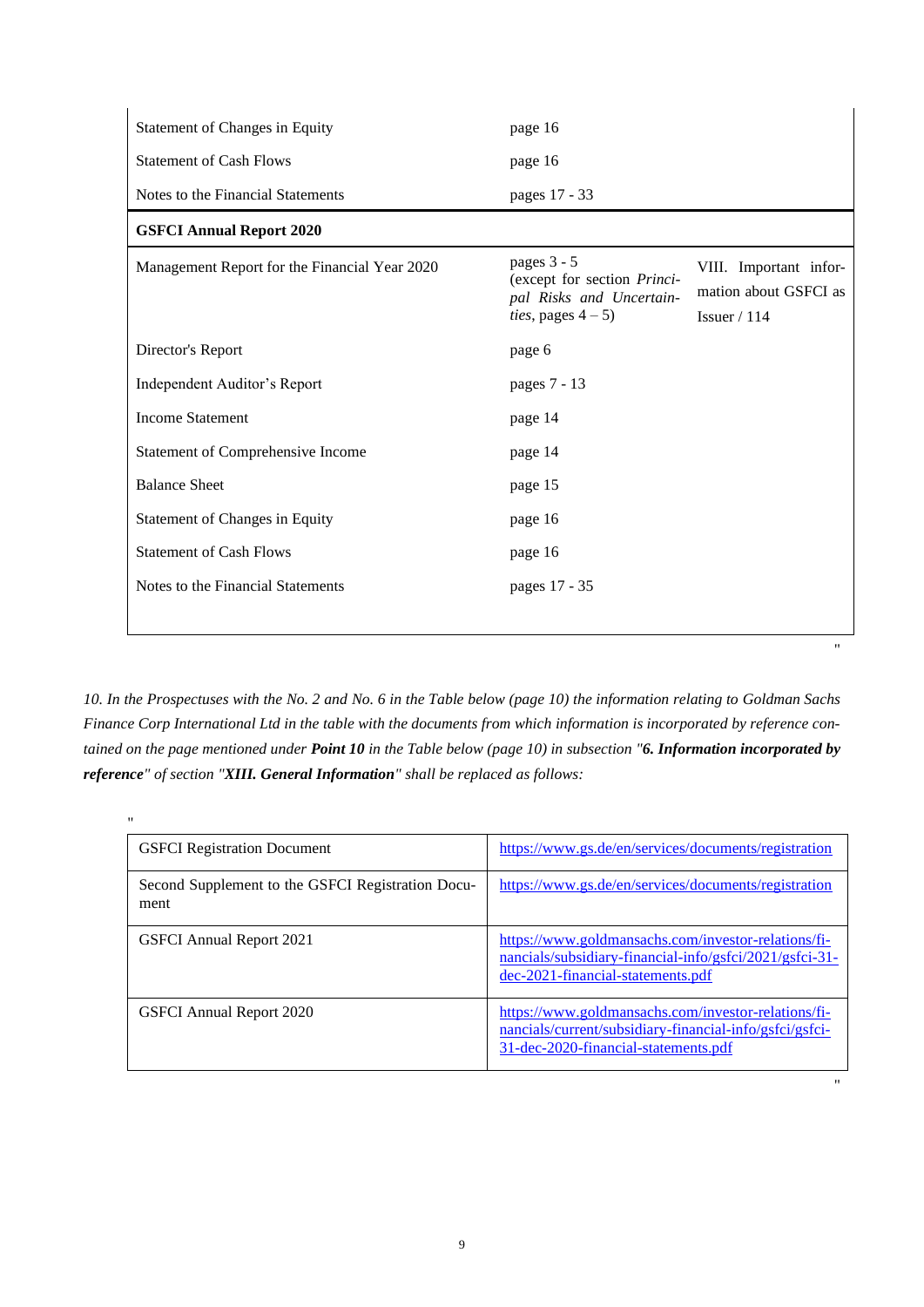| <b>Statement of Changes in Equity</b>         | page 16                                                                                               |                                                                   |
|-----------------------------------------------|-------------------------------------------------------------------------------------------------------|-------------------------------------------------------------------|
| <b>Statement of Cash Flows</b>                | page 16                                                                                               |                                                                   |
| Notes to the Financial Statements             | pages 17 - 33                                                                                         |                                                                   |
| <b>GSFCI Annual Report 2020</b>               |                                                                                                       |                                                                   |
| Management Report for the Financial Year 2020 | pages 3 - 5<br>(except for section Princi-<br>pal Risks and Uncertain-<br><i>ties</i> , pages $4-5$ ) | VIII. Important infor-<br>mation about GSFCI as<br>Issuer $/ 114$ |
| Director's Report                             | page 6                                                                                                |                                                                   |
| Independent Auditor's Report                  | pages 7 - 13                                                                                          |                                                                   |
| <b>Income Statement</b>                       | page 14                                                                                               |                                                                   |
| Statement of Comprehensive Income             | page 14                                                                                               |                                                                   |
| <b>Balance Sheet</b>                          | page 15                                                                                               |                                                                   |
| Statement of Changes in Equity                | page 16                                                                                               |                                                                   |
| <b>Statement of Cash Flows</b>                | page 16                                                                                               |                                                                   |
| Notes to the Financial Statements             | pages 17 - 35                                                                                         |                                                                   |

*10. In the Prospectuses with the No. 2 and No. 6 in the Table below (page [10\)](#page-9-0) the information relating to Goldman Sachs Finance Corp International Ltd in the table with the documents from which information is incorporated by reference contained on the page mentioned under Point 10 in the Table below (page [10\)](#page-9-0) in subsection "6. Information incorporated by reference" of section "XIII. General Information" shall be replaced as follows:*

"

"

| $^{\prime\prime}$                                         |                                                                                                                                                        |
|-----------------------------------------------------------|--------------------------------------------------------------------------------------------------------------------------------------------------------|
| <b>GSFCI</b> Registration Document                        | https://www.gs.de/en/services/documents/registration                                                                                                   |
| Second Supplement to the GSFCI Registration Docu-<br>ment | https://www.gs.de/en/services/documents/registration                                                                                                   |
| <b>GSFCI Annual Report 2021</b>                           | https://www.goldmansachs.com/investor-relations/fi-<br>nancials/subsidiary-financial-info/gsfci/2021/gsfci-31-<br>dec-2021-financial-statements.pdf    |
| <b>GSFCI</b> Annual Report 2020                           | https://www.goldmansachs.com/investor-relations/fi-<br>nancials/current/subsidiary-financial-info/gsfci/gsfci-<br>31-dec-2020-financial-statements.pdf |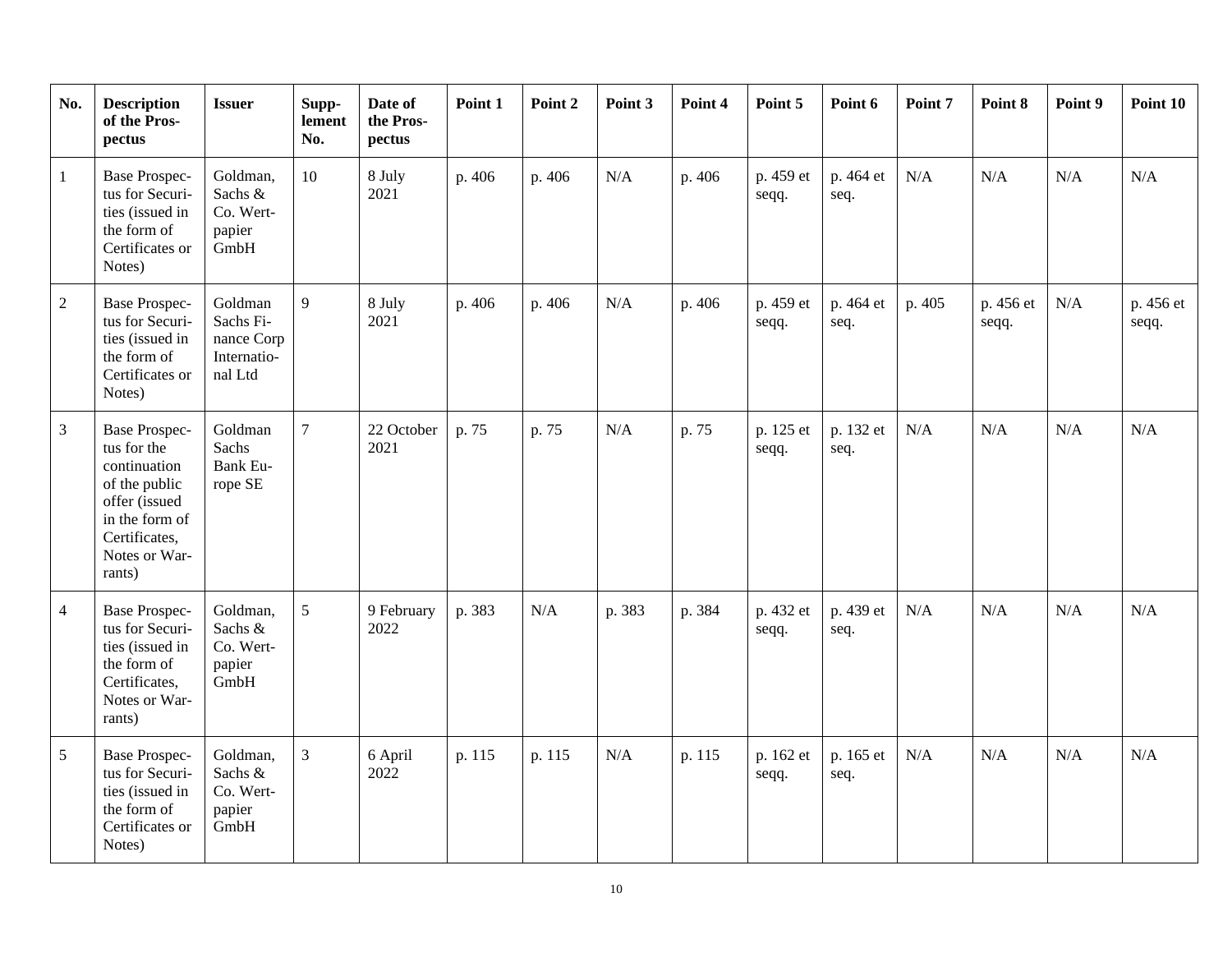<span id="page-9-0"></span>

| No.             | <b>Description</b><br>of the Pros-<br>pectus                                                                                                        | <b>Issuer</b>                                                | Supp-<br>lement<br>No. | Date of<br>the Pros-<br>pectus | Point 1 | Point 2 | Point 3 | Point 4 | Point 5            | Point 6           | Point 7 | Point 8            | Point 9 | Point 10           |
|-----------------|-----------------------------------------------------------------------------------------------------------------------------------------------------|--------------------------------------------------------------|------------------------|--------------------------------|---------|---------|---------|---------|--------------------|-------------------|---------|--------------------|---------|--------------------|
| $\mathbf{1}$    | <b>Base Prospec-</b><br>tus for Securi-<br>ties (issued in<br>the form of<br>Certificates or<br>Notes)                                              | Goldman,<br>Sachs &<br>Co. Wert-<br>papier<br>GmbH           | 10                     | 8 July<br>2021                 | p. 406  | p. 406  | N/A     | p. 406  | p. 459 et<br>seqq. | p. 464 et<br>seq. | N/A     | N/A                | N/A     | N/A                |
| 2               | <b>Base Prospec-</b><br>tus for Securi-<br>ties (issued in<br>the form of<br>Certificates or<br>Notes)                                              | Goldman<br>Sachs Fi-<br>nance Corp<br>Internatio-<br>nal Ltd | 9                      | 8 July<br>2021                 | p. 406  | p. 406  | N/A     | p. 406  | p. 459 et<br>seqq. | p. 464 et<br>seq. | p. 405  | p. 456 et<br>seqq. | N/A     | p. 456 et<br>seqq. |
| $\overline{3}$  | <b>Base Prospec-</b><br>tus for the<br>continuation<br>of the public<br>offer (issued<br>in the form of<br>Certificates,<br>Notes or War-<br>rants) | Goldman<br>Sachs<br><b>Bank Eu-</b><br>rope SE               | $\overline{7}$         | 22 October<br>2021             | p. 75   | p. 75   | N/A     | p. 75   | p. 125 et<br>seqq. | p. 132 et<br>seq. | N/A     | N/A                | N/A     | N/A                |
| $\overline{4}$  | <b>Base Prospec-</b><br>tus for Securi-<br>ties (issued in<br>the form of<br>Certificates,<br>Notes or War-<br>rants)                               | Goldman,<br>Sachs &<br>Co. Wert-<br>papier<br>GmbH           | 5                      | 9 February<br>2022             | p. 383  | N/A     | p. 383  | p. 384  | p. 432 et<br>seqq. | p. 439 et<br>seq. | N/A     | N/A                | N/A     | N/A                |
| $5\overline{)}$ | <b>Base Prospec-</b><br>tus for Securi-<br>ties (issued in<br>the form of<br>Certificates or<br>Notes)                                              | Goldman,<br>Sachs &<br>Co. Wert-<br>papier<br>GmbH           | 3                      | 6 April<br>2022                | p. 115  | p. 115  | N/A     | p. 115  | p. 162 et<br>seqq. | p. 165 et<br>seq. | N/A     | N/A                | N/A     | N/A                |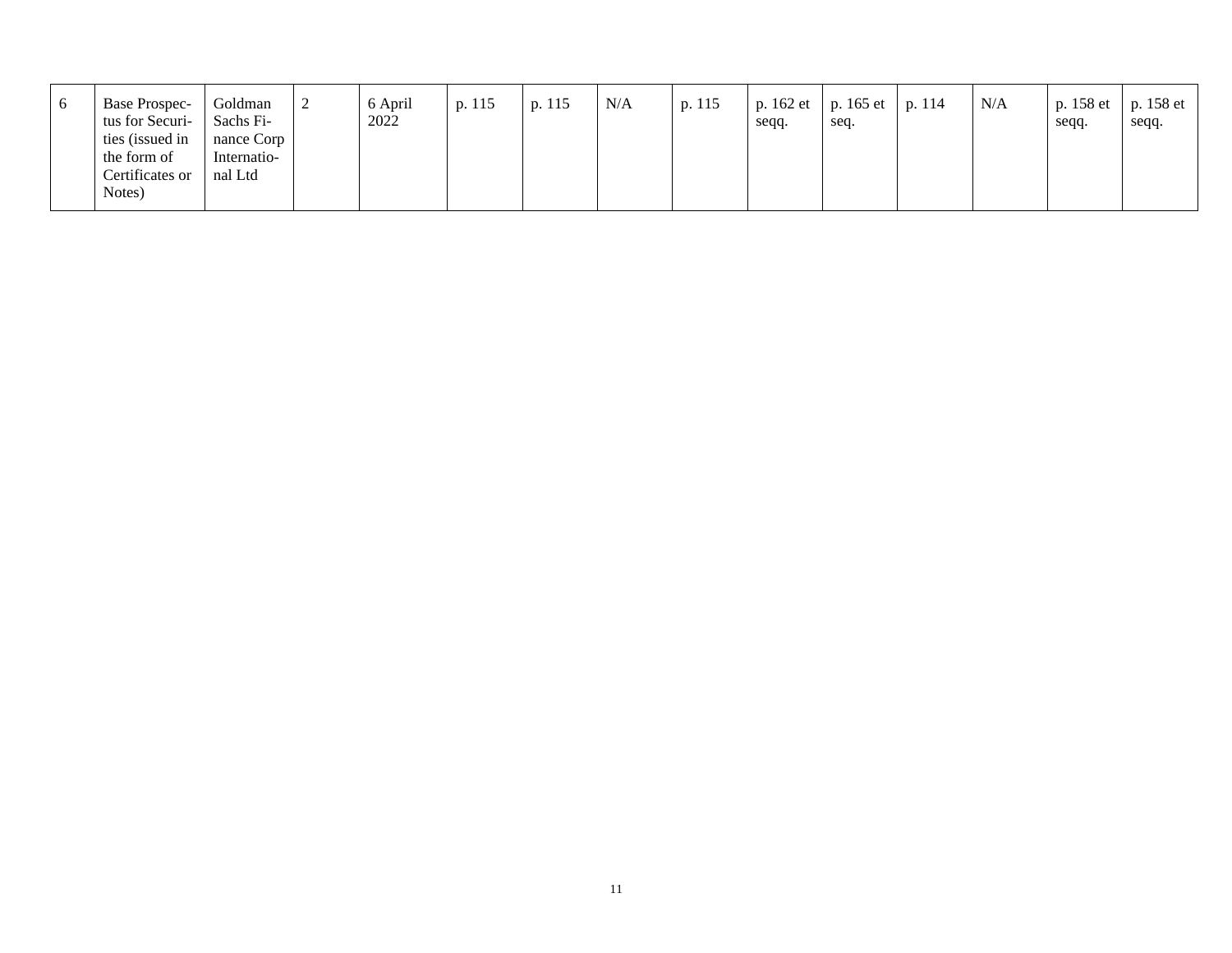| $\sigma$ | <b>Base Prospec-</b><br>tus for Securi- | Goldman<br>Sachs Fi- | 6 April<br>2022 | p. 115 | p. 115 | N/A | p. 115 | seqq. | p. 162 et   p. 165 et   p. 114<br>seq. | N/A | seqq. | p. 158 et   p. 158 et  <br>seqq. |
|----------|-----------------------------------------|----------------------|-----------------|--------|--------|-----|--------|-------|----------------------------------------|-----|-------|----------------------------------|
|          | ties (issued in                         | nance Corp           |                 |        |        |     |        |       |                                        |     |       |                                  |
|          | the form of                             | Internatio-          |                 |        |        |     |        |       |                                        |     |       |                                  |
|          | Certificates or                         | nal Ltd              |                 |        |        |     |        |       |                                        |     |       |                                  |
|          | Notes)                                  |                      |                 |        |        |     |        |       |                                        |     |       |                                  |